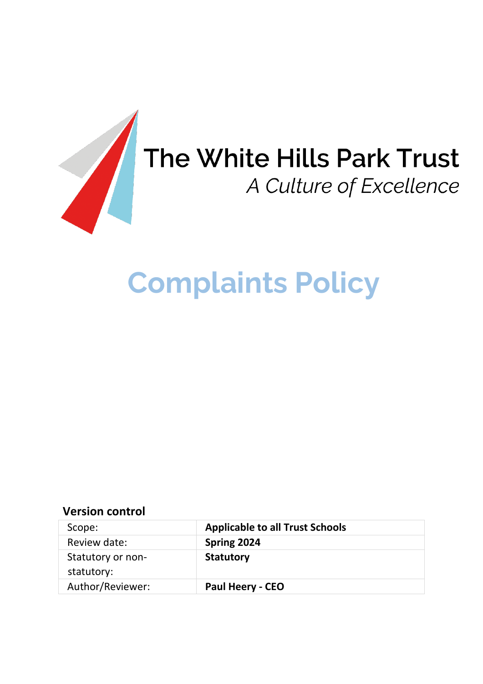

# The White Hills Park Trust<br>A Culture of Excellence

# **Complaints Policy**

# **Version control**

| Scope:            | <b>Applicable to all Trust Schools</b> |
|-------------------|----------------------------------------|
| Review date:      | Spring 2024                            |
| Statutory or non- | <b>Statutory</b>                       |
| statutory:        |                                        |
| Author/Reviewer:  | <b>Paul Heery - CEO</b>                |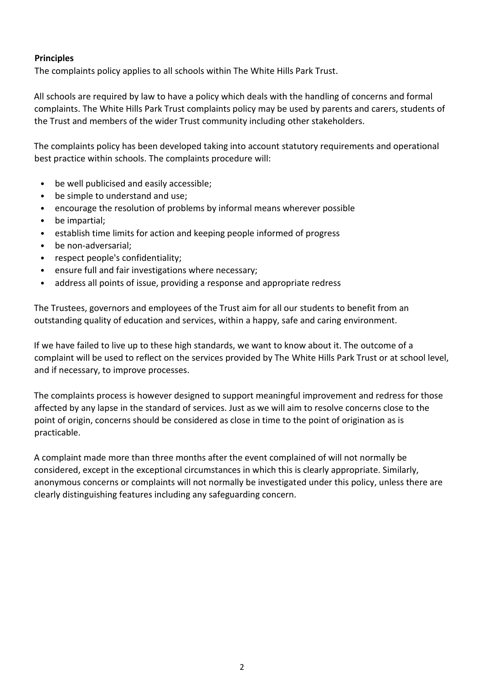#### **Principles**

The complaints policy applies to all schools within The White Hills Park Trust.

All schools are required by law to have a policy which deals with the handling of concerns and formal complaints. The White Hills Park Trust complaints policy may be used by parents and carers, students of the Trust and members of the wider Trust community including other stakeholders.

The complaints policy has been developed taking into account statutory requirements and operational best practice within schools. The complaints procedure will:

- be well publicised and easily accessible;
- be simple to understand and use;
- encourage the resolution of problems by informal means wherever possible
- be impartial;
- establish time limits for action and keeping people informed of progress
- be non-adversarial;
- respect people's confidentiality;
- ensure full and fair investigations where necessary;
- address all points of issue, providing a response and appropriate redress

The Trustees, governors and employees of the Trust aim for all our students to benefit from an outstanding quality of education and services, within a happy, safe and caring environment.

If we have failed to live up to these high standards, we want to know about it. The outcome of a complaint will be used to reflect on the services provided by The White Hills Park Trust or at school level, and if necessary, to improve processes.

The complaints process is however designed to support meaningful improvement and redress for those affected by any lapse in the standard of services. Just as we will aim to resolve concerns close to the point of origin, concerns should be considered as close in time to the point of origination as is practicable.

A complaint made more than three months after the event complained of will not normally be considered, except in the exceptional circumstances in which this is clearly appropriate. Similarly, anonymous concerns or complaints will not normally be investigated under this policy, unless there are clearly distinguishing features including any safeguarding concern.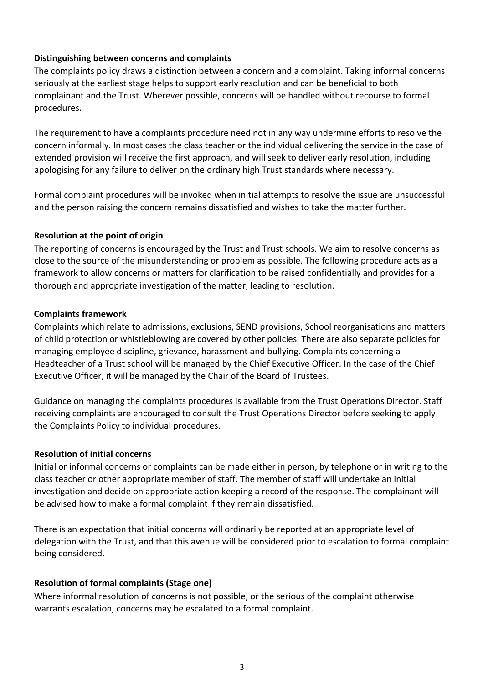#### **Distinguishing between concerns and complaints**

The complaints policy draws a distinction between a concern and a complaint. Taking informal concerns seriously at the earliest stage helps to support early resolution and can be beneficial to both complainant and the Trust. Wherever possible, concerns will be handled without recourse to formal procedures.

The requirement to have a complaints procedure need not in any way undermine efforts to resolve the concern informally. In most cases the class teacher or the individual delivering the service in the case of extended provision will receive the first approach, and will seek to deliver early resolution, including apologising for any failure to deliver on the ordinary high Trust standards where necessary.

Formal complaint procedures will be invoked when initial attempts to resolve the issue are unsuccessful and the person raising the concern remains dissatisfied and wishes to take the matter further.

#### **Resolution at the point of origin**

The reporting of concerns is encouraged by the Trust and Trust schools. We aim to resolve concerns as close to the source of the misunderstanding or problem as possible. The following procedure acts as a framework to allow concerns or matters for clarification to be raised confidentially and provides for a thorough and appropriate investigation of the matter, leading to resolution.

#### **Complaints framework**

Complaints which relate to admissions, exclusions, SEND provisions, School reorganisations and matters of child protection or whistleblowing are covered by other policies. There are also separate policies for managing employee discipline, grievance, harassment and bullying. Complaints concerning a Headteacher of a Trust school will be managed by the Chief Executive Officer. In the case of the Chief Executive Officer, it will be managed by the Chair of the Board of Trustees.

Guidance on managing the complaints procedures is available from the Trust Operations Director. Staff receiving complaints are encouraged to consult the Trust Operations Director before seeking to apply the Complaints Policy to individual procedures.

# **Resolution of initial concerns**

Initial or informal concerns or complaints can be made either in person, by telephone or in writing to the class teacher or other appropriate member of staff. The member of staff will undertake an initial investigation and decide on appropriate action keeping a record of the response. The complainant will be advised how to make a formal complaint if they remain dissatisfied.

There is an expectation that initial concerns will ordinarily be reported at an appropriate level of delegation with the Trust, and that this avenue will be considered prior to escalation to formal complaint being considered.

# **Resolution of formal complaints (Stage one)**

Where informal resolution of concerns is not possible, or the serious of the complaint otherwise warrants escalation, concerns may be escalated to a formal complaint.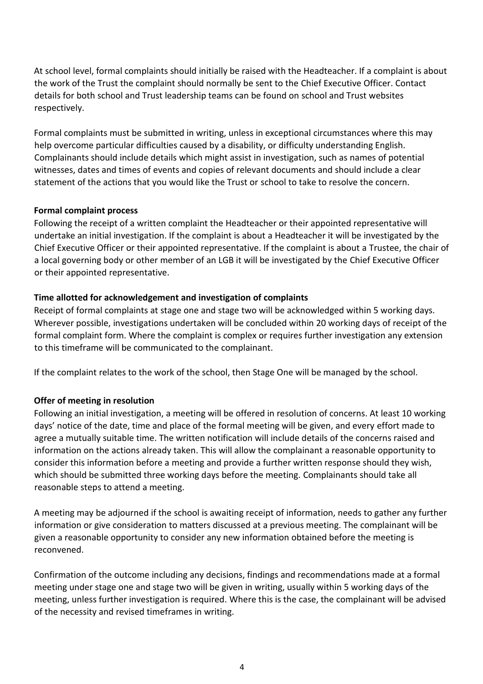At school level, formal complaints should initially be raised with the Headteacher. If a complaint is about the work of the Trust the complaint should normally be sent to the Chief Executive Officer. Contact details for both school and Trust leadership teams can be found on school and Trust websites respectively.

Formal complaints must be submitted in writing, unless in exceptional circumstances where this may help overcome particular difficulties caused by a disability, or difficulty understanding English. Complainants should include details which might assist in investigation, such as names of potential witnesses, dates and times of events and copies of relevant documents and should include a clear statement of the actions that you would like the Trust or school to take to resolve the concern.

#### **Formal complaint process**

Following the receipt of a written complaint the Headteacher or their appointed representative will undertake an initial investigation. If the complaint is about a Headteacher it will be investigated by the Chief Executive Officer or their appointed representative. If the complaint is about a Trustee, the chair of a local governing body or other member of an LGB it will be investigated by the Chief Executive Officer or their appointed representative.

#### **Time allotted for acknowledgement and investigation of complaints**

Receipt of formal complaints at stage one and stage two will be acknowledged within 5 working days. Wherever possible, investigations undertaken will be concluded within 20 working days of receipt of the formal complaint form. Where the complaint is complex or requires further investigation any extension to this timeframe will be communicated to the complainant.

If the complaint relates to the work of the school, then Stage One will be managed by the school.

#### **Offer of meeting in resolution**

Following an initial investigation, a meeting will be offered in resolution of concerns. At least 10 working days' notice of the date, time and place of the formal meeting will be given, and every effort made to agree a mutually suitable time. The written notification will include details of the concerns raised and information on the actions already taken. This will allow the complainant a reasonable opportunity to consider this information before a meeting and provide a further written response should they wish, which should be submitted three working days before the meeting. Complainants should take all reasonable steps to attend a meeting.

A meeting may be adjourned if the school is awaiting receipt of information, needs to gather any further information or give consideration to matters discussed at a previous meeting. The complainant will be given a reasonable opportunity to consider any new information obtained before the meeting is reconvened.

Confirmation of the outcome including any decisions, findings and recommendations made at a formal meeting under stage one and stage two will be given in writing, usually within 5 working days of the meeting, unless further investigation is required. Where this is the case, the complainant will be advised of the necessity and revised timeframes in writing.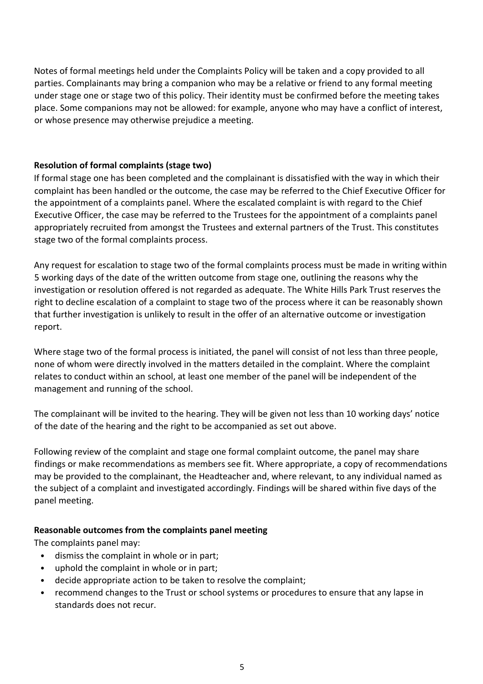Notes of formal meetings held under the Complaints Policy will be taken and a copy provided to all parties. Complainants may bring a companion who may be a relative or friend to any formal meeting under stage one or stage two of this policy. Their identity must be confirmed before the meeting takes place. Some companions may not be allowed: for example, anyone who may have a conflict of interest, or whose presence may otherwise prejudice a meeting.

#### **Resolution of formal complaints (stage two)**

If formal stage one has been completed and the complainant is dissatisfied with the way in which their complaint has been handled or the outcome, the case may be referred to the Chief Executive Officer for the appointment of a complaints panel. Where the escalated complaint is with regard to the Chief Executive Officer, the case may be referred to the Trustees for the appointment of a complaints panel appropriately recruited from amongst the Trustees and external partners of the Trust. This constitutes stage two of the formal complaints process.

Any request for escalation to stage two of the formal complaints process must be made in writing within 5 working days of the date of the written outcome from stage one, outlining the reasons why the investigation or resolution offered is not regarded as adequate. The White Hills Park Trust reserves the right to decline escalation of a complaint to stage two of the process where it can be reasonably shown that further investigation is unlikely to result in the offer of an alternative outcome or investigation report.

Where stage two of the formal process is initiated, the panel will consist of not less than three people, none of whom were directly involved in the matters detailed in the complaint. Where the complaint relates to conduct within an school, at least one member of the panel will be independent of the management and running of the school.

The complainant will be invited to the hearing. They will be given not less than 10 working days' notice of the date of the hearing and the right to be accompanied as set out above.

Following review of the complaint and stage one formal complaint outcome, the panel may share findings or make recommendations as members see fit. Where appropriate, a copy of recommendations may be provided to the complainant, the Headteacher and, where relevant, to any individual named as the subject of a complaint and investigated accordingly. Findings will be shared within five days of the panel meeting.

#### **Reasonable outcomes from the complaints panel meeting**

The complaints panel may:

- dismiss the complaint in whole or in part;
- uphold the complaint in whole or in part;
- decide appropriate action to be taken to resolve the complaint;
- recommend changes to the Trust or school systems or procedures to ensure that any lapse in standards does not recur.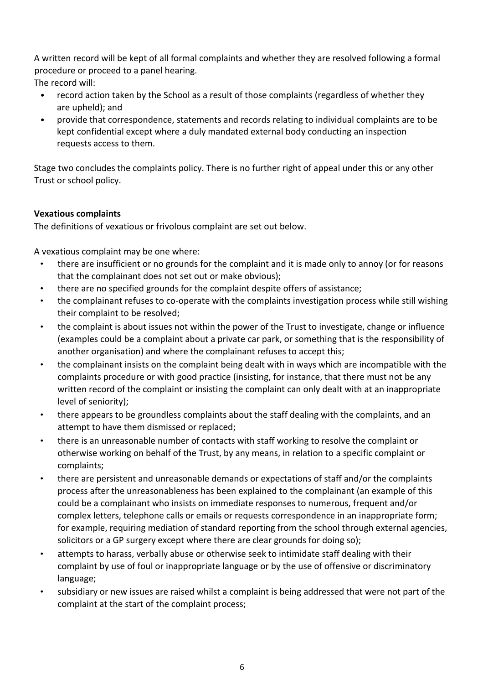A written record will be kept of all formal complaints and whether they are resolved following a formal procedure or proceed to a panel hearing.

The record will:

- record action taken by the School as a result of those complaints (regardless of whether they are upheld); and
- provide that correspondence, statements and records relating to individual complaints are to be kept confidential except where a duly mandated external body conducting an inspection requests access to them.

Stage two concludes the complaints policy. There is no further right of appeal under this or any other Trust or school policy.

# **Vexatious complaints**

The definitions of vexatious or frivolous complaint are set out below.

A vexatious complaint may be one where:

- there are insufficient or no grounds for the complaint and it is made only to annoy (or for reasons that the complainant does not set out or make obvious);
- there are no specified grounds for the complaint despite offers of assistance;
- the complainant refuses to co-operate with the complaints investigation process while still wishing their complaint to be resolved;
- the complaint is about issues not within the power of the Trust to investigate, change or influence (examples could be a complaint about a private car park, or something that is the responsibility of another organisation) and where the complainant refuses to accept this;
- the complainant insists on the complaint being dealt with in ways which are incompatible with the complaints procedure or with good practice (insisting, for instance, that there must not be any written record of the complaint or insisting the complaint can only dealt with at an inappropriate level of seniority);
- there appears to be groundless complaints about the staff dealing with the complaints, and an attempt to have them dismissed or replaced;
- there is an unreasonable number of contacts with staff working to resolve the complaint or otherwise working on behalf of the Trust, by any means, in relation to a specific complaint or complaints;
- there are persistent and unreasonable demands or expectations of staff and/or the complaints process after the unreasonableness has been explained to the complainant (an example of this could be a complainant who insists on immediate responses to numerous, frequent and/or complex letters, telephone calls or emails or requests correspondence in an inappropriate form; for example, requiring mediation of standard reporting from the school through external agencies, solicitors or a GP surgery except where there are clear grounds for doing so);
- attempts to harass, verbally abuse or otherwise seek to intimidate staff dealing with their complaint by use of foul or inappropriate language or by the use of offensive or discriminatory language;
- subsidiary or new issues are raised whilst a complaint is being addressed that were not part of the complaint at the start of the complaint process;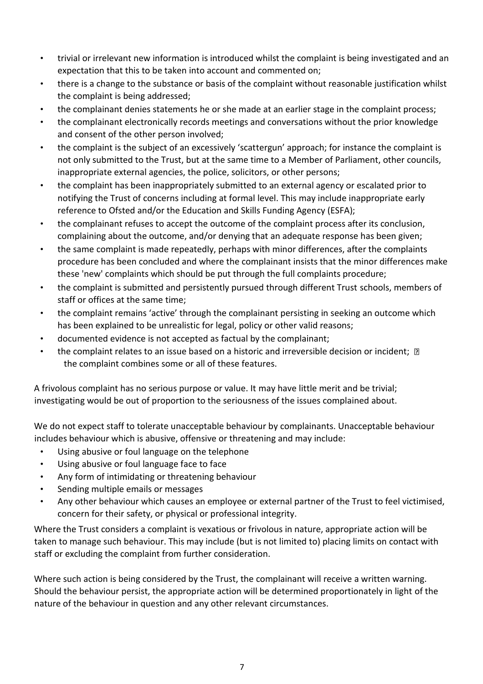- trivial or irrelevant new information is introduced whilst the complaint is being investigated and an expectation that this to be taken into account and commented on;
- there is a change to the substance or basis of the complaint without reasonable justification whilst the complaint is being addressed;
- the complainant denies statements he or she made at an earlier stage in the complaint process;
- the complainant electronically records meetings and conversations without the prior knowledge and consent of the other person involved;
- the complaint is the subject of an excessively 'scattergun' approach; for instance the complaint is not only submitted to the Trust, but at the same time to a Member of Parliament, other councils, inappropriate external agencies, the police, solicitors, or other persons;
- the complaint has been inappropriately submitted to an external agency or escalated prior to notifying the Trust of concerns including at formal level. This may include inappropriate early reference to Ofsted and/or the Education and Skills Funding Agency (ESFA);
- the complainant refuses to accept the outcome of the complaint process after its conclusion, complaining about the outcome, and/or denying that an adequate response has been given;
- the same complaint is made repeatedly, perhaps with minor differences, after the complaints procedure has been concluded and where the complainant insists that the minor differences make these 'new' complaints which should be put through the full complaints procedure;
- the complaint is submitted and persistently pursued through different Trust schools, members of staff or offices at the same time;
- the complaint remains 'active' through the complainant persisting in seeking an outcome which has been explained to be unrealistic for legal, policy or other valid reasons;
- documented evidence is not accepted as factual by the complainant;
- the complaint relates to an issue based on a historic and irreversible decision or incident;  $\mathbb D$ the complaint combines some or all of these features.

A frivolous complaint has no serious purpose or value. It may have little merit and be trivial; investigating would be out of proportion to the seriousness of the issues complained about.

We do not expect staff to tolerate unacceptable behaviour by complainants. Unacceptable behaviour includes behaviour which is abusive, offensive or threatening and may include:

- Using abusive or foul language on the telephone
- Using abusive or foul language face to face
- Any form of intimidating or threatening behaviour
- Sending multiple emails or messages
- Any other behaviour which causes an employee or external partner of the Trust to feel victimised, concern for their safety, or physical or professional integrity.

Where the Trust considers a complaint is vexatious or frivolous in nature, appropriate action will be taken to manage such behaviour. This may include (but is not limited to) placing limits on contact with staff or excluding the complaint from further consideration.

Where such action is being considered by the Trust, the complainant will receive a written warning. Should the behaviour persist, the appropriate action will be determined proportionately in light of the nature of the behaviour in question and any other relevant circumstances.